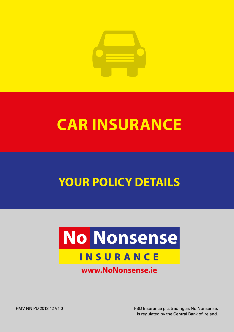

# **CAR INSURANCE**

# YOUR POLICY DETAILS

# **No Nonsense INSURANCE**

# www.NoNonsense.ie

FBD Insurance plc, trading as No Nonsense, is regulated by the Central Bank of Ireland.

PMV NN PD 2013 12 V1.0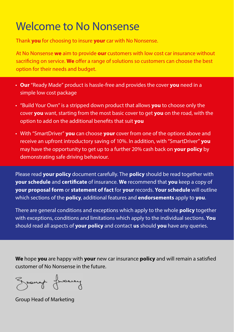# Welcome to No Nonsense

Thank **you** for choosing to insure **your** car with No Nonsense.

At No Nonsense **we** aim to provide **our** customers with low cost car insurance without sacrificing on service. **We** offer a range of solutions so customers can choose the best option for their needs and budget.

- **Our** "Ready Made" product is hassle-free and provides the cover **you** need in a simple low cost package
- "Build Your Own" is a stripped down product that allows **you** to choose only the cover **you** want, starting from the most basic cover to get **you** on the road, with the option to add on the additional benefits that suit **you**
- With "SmartDriver" **you** can choose **your** cover from one of the options above and receive an upfront introductory saving of 10%. In addition, with "SmartDriver" **you** may have the opportunity to get up to a further 20% cash back on **your policy** by demonstrating safe driving behaviour.

Please read **your policy** document carefully. The **policy** should be read together with **your schedule** and **certificate** of insurance. **We** recommend that **you** keep a copy of **your proposal form** or **statement of fact** for **your** records. **Your schedule** will outline which sections of the **policy**, additional features and **endorsements** apply to **you**.

There are general conditions and exceptions which apply to the whole **policy** together with exceptions, conditions and limitations which apply to the individual sections. **You** should read all aspects of **your policy** and contact **us** should **you** have any queries.

**We** hope **you** are happy with **your** new car insurance **policy** and will remain a satisfied customer of No Nonsense in the future.

Ground fuercy

Group Head of Marketing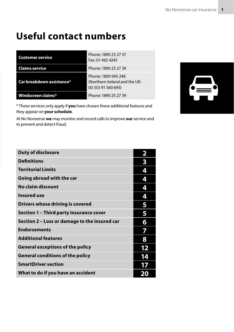# **Useful contact numbers**

| <b>Customer service</b>   | Phone: 1890 25 27 37<br>Fax: 01 465 4245                                   |
|---------------------------|----------------------------------------------------------------------------|
| <b>Claims service</b>     | Phone: 1890 25 27 39                                                       |
| Car breakdown assistance* | Phone: 1800 945 248<br>(Northern Ireland and the UK:<br>00 353 91 560 695) |
| Windscreen claims*        | Phone: 1890 25 27 39                                                       |

\* These services only apply if **you** have chosen these additional features and they appear on **your schedule**.

At No Nonsense **we** may monitor and record calls to improve **our** service and to prevent and detect fraud.



| <b>Duty of disclosure</b>                     | 2  |
|-----------------------------------------------|----|
| <b>Definitions</b>                            | 3  |
| <b>Territorial Limits</b>                     | 4  |
| Going abroad with the car                     | 4  |
| No claim discount                             | 4  |
| <b>Insured use</b>                            | 4  |
| Drivers whose driving is covered              | 5  |
| Section 1 - Third party insurance cover       | 5  |
| Section 2 – Loss or damage to the insured car | 6  |
| <b>Endorsements</b>                           |    |
| <b>Additional features</b>                    | 8  |
| <b>General exceptions of the policy</b>       | 12 |
| <b>General conditions of the policy</b>       | 14 |
| <b>SmartDriver section</b>                    |    |
| What to do if you have an accident            |    |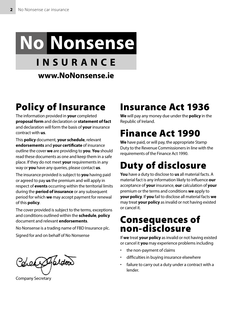# **No Nonsense**

# **INSURANCE**

www.NoNonsense.ie

# Policy of Insurance

The information provided in **your** completed **proposal form** and declaration or **statement of fact** and declaration will form the basis of **your** insurance contract with **us**.

This **policy** document, **your schedule**, relevant **endorsements** and **your certificate** of insurance outline the cover **we** are providing to **you**. **You** should read these documents as one and keep them in a safe place. If they do not meet **your** requirements in any way or **you** have any queries, please contact **us**.

The insurance provided is subject to **you** having paid or agreed to pay **us** the premium and will apply in respect of **events** occurring within the territorial limits during the **period of insurance** or any subsequent period for which **we** may accept payment for renewal of this **policy**.

The cover provided is subject to the terms, exceptions and conditions outlined within the **schedule**, **policy** document and relevant **endorsements**.

No Nonsense is a trading name of FBD Insurance plc.

Signed for and on behalf of No Nonsense

Concert fordoor

Company Secretary

# Insurance Act 1936

**We** will pay any money due under the **policy** in the Republic of Ireland.

# Finance Act 1990

**We** have paid, or will pay, the appropriate Stamp Duty to the Revenue Commissioners in line with the requirements of the Finance Act 1990.

# Duty of disclosure

**You** have a duty to disclose to **us** all material facts. A material fact is any information likely to influence **our** acceptance of **your** insurance, **our** calculation of **your** premium or the terms and conditions **we** apply to **your policy**. If **you** fail to disclose all material facts **we** may treat **your policy** as invalid or not having existed or cancel it.

# Consequences of non-disclosure

If **we** treat **your policy** as invalid or not having existed or cancel it **you** may experience problems including

- the non-payment of claims
- difficulties in buying insurance elsewhere
- failure to carry out a duty under a contract with a lender.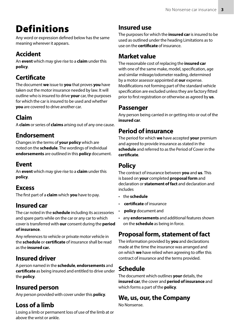# Definitions

Any word or expression defined below has the same meaning wherever it appears.

### Accident

An **event** which may give rise to a **claim** under this **policy**.

### **Certificate**

The document **we** issue to **you** that proves **you** have taken out the motor insurance needed by law. It will outline who is insured to drive **your** car, the purposes for which the car is insured to be used and whether **you** are covered to drive another car.

## Claim

A **claim** or series of **claims** arising out of any one cause.

#### Endorsement

Changes in the terms of **your policy** which are noted on the **schedule**. The wordings of individual **endorsements** are outlined in this **policy** document.

#### Event

An **event** which may give rise to a **claim** under this **policy**.

#### **Fxcess**

The first part of a **claim** which **you** have to pay.

### Insured car

The car noted in the **schedule** including its accessories and spare parts while on the car or any car to which cover is transferred with **our** consent during the **period of insurance**.

Any references to vehicle or private motor vehicle in the **schedule** or **certificate** of insurance shall be read as the **insured car.**

### Insured driver

A person named in the **schedule**, **endorsements** and **certificate** as being insured and entitled to drive under the **policy**.

### Insured person

Any person provided with cover under this **policy**.

#### Loss of a limb

Losing a limb or permanent loss of use of the limb at or above the wrist or ankle.

#### **Insured** use

The purposes for which the **insured car** is insured to be used as outlined under the heading Limitations as to use on the **certificate** of insurance.

#### Market value

The reasonable cost of replacing the **insured car** with one of the same make, model, specification, age and similar mileage/odometer reading, determined by a motor assessor appointed at **our** expense. Modifications not forming part of the standard vehicle specification are excluded unless they are factory fitted prior to first registration or otherwise as agreed by **us**.

#### **Passenger**

Any person being carried in or getting into or out of the **insured car**.

### **Period of insurance**

The period for which **we** have accepted **your** premium and agreed to provide insurance as stated in the **schedule** and referred to as the Period of Cover in the **certificate**.

### **Policy**

The contract of insurance between **you** and **us**. This is based on **your** completed **proposal form** and declaration or **statement of fact** and declaration and includes

- the **schedule**
- **certificate** of insurance
- **policy** document and
- any **endorsements** and additional features shown on the **schedule** as being in force.

### **Proposal form**, **statement of fact**

The information provided by **you** and declarations made at the time the insurance was arranged and on which **we** have relied when agreeing to offer this contract of insurance and the terms provided.

### **Schedule**

The document which outlines **your** details, the **insured car**, the cover and **period of insurance** and which forms a part of the **policy**.

### **We**, **us**, **our**, the Company

No Nonsense.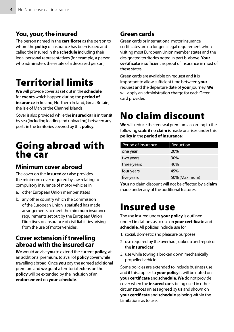#### **You**, **your**, the **insured**

The person named in the **certificate** as the person to whom the **policy** of insurance has been issued and called the insured in the **schedule** including their legal personal representatives (for example, a person who administers the estate of a deceased person).

# Territorial limits

**We** will provide cover as set out in the **schedule** for **events** which happen during the **period of insurance** in Ireland, Northern Ireland, Great Britain, the Isle of Man or the Channel Islands.

Cover is also provided while the **insured car** is in transit by sea (including loading and unloading) between any ports in the territories covered by this **policy**.

# Going abroad with the car

#### Minimum cover abroad

The cover on the **insured car** also provides the minimum cover required by law relating to compulsory insurance of motor vehicles in

- a. other European Union member states
- b. any other country which the Commission of the European Union is satisfied has made arrangements to meet the minimum insurance requirements set out by the European Union Directives on insurance of civil liabilities arising from the use of motor vehicles.

#### Cover extension if travelling abroad with the insured car

**We** would advise **you** to extend the current **policy**, at an additional premium, to avail of **policy** cover while travelling abroad. Once **you** pay the agreed additional premium and **we** grant a territorial extension the **policy** will be extended by the inclusion of an **endorsement** on **your schedule**.

#### Green cards

Green cards or International motor insurance certificates are no longer a legal requirement when visiting most European Union member states and the designated territories noted in part b. above. **Your certificate** is sufficient as proof of insurance in most of these states.

Green cards are available on request and it is important to allow sufficient time between **your** request and the departure date of **your** journey. **We** will apply an administration charge for each Green card provided.

# No claim discount

**We** will reduce the renewal premium according to the following scale if no **claim** is made or arises under this **policy** in the **period of insurance**:

| Period of insurance | <b>Reduction</b> |
|---------------------|------------------|
| one year            | 20%              |
| two years           | 30%              |
| three years         | 40%              |
| four years          | 45%              |
| five years          | 50% (Maximum)    |

**Your** no claim discount will not be affected by a **claim** made under any of the additional features.

# Insured use

The use insured under **your policy** is outlined under Limitations as to use on **your certificate** and **schedule**. All policies include use for

- 1. social, domestic and pleasure purposes
- 2. use required by the overhaul, upkeep and repair of the **insured car**
- 3. use while towing a broken down mechanically propelled vehicle.

Some policies are extended to include business use and if this applies to **your policy** it will be noted on **your certificate** and **schedule**. **We** do not provide cover when the **insured car** is being used in other circumstances unless agreed by **us** and shown on **your certificate** and **schedule** as being within the Limitations as to use.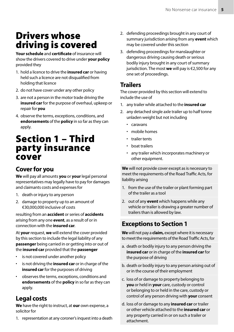# Drivers whose driving is covered

**Your schedule** and **certificate** of insurance will show the drivers covered to drive under **your policy** provided they

- 1. hold a licence to drive the **insured car** or having held such a licence are not disqualified from holding that licence
- 2. do not have cover under any other policy
- 3. are not a person in the motor trade driving the **insured car** for the purpose of overhaul, upkeep or repair for **you**
- 4. observe the terms, exceptions, conditions, and **endorsements** of the **policy** in so far as they can apply.

# Section 1 – Third party insurance cover

#### Cover for **you**

**We** will pay all amounts **you** or **your** legal personal representatives may legally have to pay for damages and claimants costs and expenses for

- 1. death or injury to any person
- 2. damage to property up to an amount of €30,000,000 inclusive of costs

resulting from an **accident** or series of **accidents** arising from any one **event**, as a result of or in connection with the **insured car**.

At **your** request, **we** will extend the cover provided by this section to include the legal liability of any **passenger** being carried in or getting into or out of the **insured car** provided that the **passenger**

- is not covered under another policy
- is not driving the **insured car** or in charge of the **insured car** for the purposes of driving
- observes the terms, exceptions, conditions and **endorsements** of the **policy** in so far as they can apply.

#### Legal costs

**We** have the right to instruct, at **our** own expense, a solicitor for

1. representation at any coroner's inquest into a death

- 2. defending proceedings brought in any court of summary jurisdiction arising from any **event** which may be covered under this section
- 3. defending proceedings for manslaughter or dangerous driving causing death or serious bodily injury brought in any court of summary jurisdiction. The most **we** will pay is €2,500 for any one set of proceedings.

#### Trailers

The cover provided by this section will extend to include the use of

- 1. any trailer while attached to the **insured car**
- 2. any detached single axle trailer up to half tonne unladen weight but not including
	- caravans
	- mobile homes
	- trailer tents
	- boat trailers
	- any trailer which incorporates machinery or other equipment.

**We** will not provide cover except as is necessary to meet the requirements of the Road Traffic Acts, for liability arising

- 1. from the use of the trailer or plant forming part of the trailer as a tool
- 2. out of any **event** which happens while any vehicle or trailer is drawing a greater number of trailers than is allowed by law.

#### Exceptions to Section 1

**We** will not pay a **claim,** except where it is necessary to meet the requirements of the Road Traffic Acts, for

- a. death or bodily injury to any person driving the **insured car** or in charge of the **insured car** for the purpose of driving
- b. death or bodily injury to any person arising out of or in the course of their employment
- c. loss of or damage to property belonging to **you** or held in **your** care, custody or control or belonging to or held in the care, custody or control of any person driving with **your** consent
- d. loss of or damage to any **insured car** or trailer or other vehicle attached to the **insured car** or any property carried in or on such a trailer or attachment.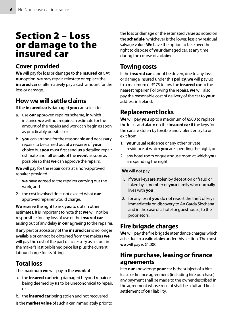# Section 2 – Loss or damage to the insured car

#### Cover provided

**We** will pay for loss or damage to the **insured car**. At **our** option, **we** may repair, reinstate or replace the **insured car** or alternatively pay a cash amount for the loss or damage.

### How we will settle claims

If the **insured car** is damaged **you** can select to

- a. use **our** approved repairer scheme, in which instance **we** will not require an estimate for the amount of the repairs and work can begin as soon as practicably possible, or
- b. **you** can arrange for the reasonable and necessary repairs to be carried out at a repairer of **your** choice but **you** must first send **us** a detailed repair estimate and full details of the **event** as soon as possible so that **we** can approve the repairs.

**We** will pay for the repair costs at a non-approved repairer provided

- 1. **we** have agreed to the repairer carrying out the work, and
- 2. the cost involved does not exceed what **our** approved repairer would charge.

**We** reserve the right to ask **you** to obtain other estimates. It is important to note that **we** will not be responsible for any loss of use of the **insured car** arising out of any delay in **our** agreeing to the repairer.

If any part or accessory of the **insured car** is no longer available or cannot be obtained from the makers **we** will pay the cost of the part or accessory as set out in the maker's last published price list plus the current labour charge for its fitting.

### Total loss

The maximum **we** will pay in the **event** of

- a. the **insured car** being damaged beyond repair or being deemed by **us** to be uneconomical to repair, or
- b. the **insured car** being stolen and not recovered
- is the **market value** of such a car immediately prior to

the loss or damage or the estimated value as noted on the **schedule**, whichever is the lower, less any residual salvage value. **We** have the option to take over the right to dispose of **your** damaged car, at any time during the course of a **claim**.

### Towing costs

If the **insured car** cannot be driven, due to any loss or damage insured under this **policy**, **we** will pay up to a maximum of €175 to tow the **insured car** to the nearest repairer. Following the repairs, **we** will also pay the reasonable cost of delivery of the car to **your** address in Ireland.

### Replacement locks

**We** will pay **you** up to a maximum of €500 to replace the locks and alarm on the **insured car** if the keys for the car are stolen by forcible and violent entry to or exit from

- 1. **your** usual residence or any other private residence at which **you** are spending the night, or
- 2. any hotel room or guesthouse room at which **you** are spending the night.

#### **We** will not pay

- 1. if **your** keys are stolen by deception or fraud or taken by a member of **your** family who normally lives with **you**
- 2. for any loss if **you** do not report the theft of keys immediately on discovery to An Garda Síochána and in the case of a hotel or guesthouse, to the proprietors.

### Fire brigade charges

**We** will pay the fire brigade attendance charges which arise due to a valid **claim** under this section. The most **we** will pay is €1,000.

#### Hire purchase, leasing or finance agreements

If to **our** knowledge **your** car is the subject of a hire, lease or finance agreement (including hire purchase) any payment shall be made to the owner described in the agreement whose receipt shall be a full and final settlement of **our** liability.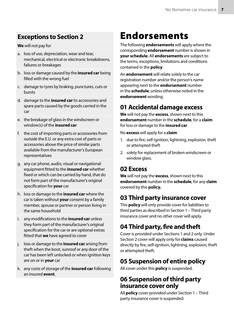#### Exceptions to Section 2

#### **We** will not pay for

- a. loss of use, depreciation, wear and tear, mechanical, electrical or electronic breakdowns, failures or breakages
- b. loss or damage caused by the **insured car** being filled with the wrong fuel
- c. damage to tyres by braking, punctures, cuts or bursts
- d. damage to the **insured car** its accessories and spare parts caused by the goods carried in the car
- e. the breakage of glass in the windscreen or window(s) of the **insured car**
- f. the cost of importing parts or accessories from outside the E.U. or any extra cost of parts or accessories above the price of similar parts available from the manufacturer's European representatives
- g. any car phone, audio, visual or navigational equipment fitted to the **insured car** whether fixed or which can be carried by hand, that do not form part of the manufacturer's original specification for **your** car
- h. loss or damage to the **insured car** where the car is taken without **your** consent by a family member, spouse or partner or person living in the same household
- i. any modifications to the **insured car** unless they form part of the manufacturer's original specification for the car or are optional extras fitted that **we** have agreed to cover
- j. loss or damage to the **insured car** arising from theft when the boot, sunroof or any door of the car has been left unlocked or when ignition keys are on or in **your** car
- k. any costs of storage of the **insured car** following an insured **event**.

# Endorsements

The following **endorsements** will apply where the corresponding **endorsement** number is shown in **your schedule**. All **endorsements** are subject to the terms, exceptions, limitations and conditions contained in the **policy**.

An **endorsement** will relate solely to the car registration number and/or the person's name appearing next to the **endorsement** number in the **schedule**, unless otherwise noted in the **endorsement** wording.

#### 01 Accidental damage excess

**We** will not pay the **excess**, shown next to this **endorsement** number in the **schedule**, for a **claim** for loss or damage to the **insured car**.

No **excess** will apply for a **claim**

- 1. due to fire, self-ignition, lightning, explosion, theft or attempted theft
- 2. solely for replacement of broken windscreen or window glass.

#### 02 Excess

**We** will not pay the **excess**, shown next to this **endorsement** number in the **schedule**, for any **claim** covered by this **policy.**

#### 03 Third party insurance cover

This **policy** will only provide cover for liabilities to third parties as described in Section 1 – Third party insurance cover and no other cover will apply.

#### 04 Third party, fire and theft

Cover is provided under Sections 1 and 2 only. Under Section 2 cover will apply only for **claims** caused directly by fire, self-ignition, lightning, explosion, theft or attempted theft.

#### 05 Suspension of entire policy

All cover under this **policy** is suspended.

#### 06 Suspension of third party insurance cover only

All **policy** cover provided under Section 1 – Third party insurance cover is suspended.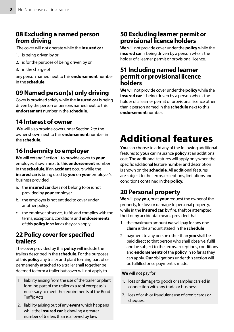#### 08 Excluding a named person from driving

The cover will not operate while the **insured car**

- 1. is being driven by or
- 2. is for the purpose of being driven by or
- 3. in the charge of

any person named next to this **endorsement** number in the **schedule**.

#### 09 Named person(s) only driving

Cover is provided solely while the **insured car** is being driven by the person or persons named next to this **endorsement** number in the **schedule**.

#### 14 Interest of owner

**We** will also provide cover under Section 2 to the owner shown next to this **endorsement** number in the **schedule**.

#### 16 Indemnity to employer

**We** will extend Section 1 to provide cover to **your** employer, shown next to this **endorsement** number in the **schedule**, if an **accident** occurs while the **insured car** is being used by **you** on **your** employer's business provided

- a. the **insured car** does not belong to or is not provided by **your** employer
- b. the employer is not entitled to cover under another policy
- c. the employer observes, fulfils and complies with the terms, exceptions, conditions and **endorsements** of this **policy** in so far as they can apply.

#### 22 Policy cover for specified trailers

The cover provided by this **policy** will include the trailers described in the **schedule**. For the purposes of this **policy** any trailer and plant forming part of or permanently attached to a trailer shall together be deemed to form a trailer but cover will not apply to

- 1. liability arising from the use of the trailer or plant forming part of the trailer as a tool except as is necessary to meet the requirements of the Road Traffic Acts
- 2. liability arising out of any **event** which happens while the **insured car** is drawing a greater number of trailers than is allowed by law.

#### 50 Excluding learner permit or provisional licence holders

**We** will not provide cover under the **policy** while the **insured car** is being driven by a person who is the holder of a learner permit or provisional licence.

#### 51 Including named learner permit or provisional licence **holders**

**We** will not provide cover under the **policy** while the **insured car** is being driven by a person who is the holder of a learner permit or provisional licence other than a person named in the **schedule** next to this **endorsement** number.

# Additional features

**You** can choose to add any of the following additional features to **your** car insurance **policy** at an additional cost. The additional features will apply only when the specific additional feature number and description is shown on the **schedule**. All additional features are subject to the terms, exceptions, limitations and conditions contained in the **policy**.

#### 20 Personal property

**We** will pay **you**, or at **your** request the owner of the property, for loss or damage to personal property, while in the **insured car**, by fire, theft or attempted theft or by accidental means provided that

- 1. the maximum amount **we** will pay for any one **claim** is the amount stated in the **schedule**
- 2. payment to any person other than **you** shall be paid direct to that person who shall observe, fulfil and be subject to the terms, exceptions, conditions and **endorsements** of the **policy** in so far as they can apply. **Our** obligations under this section will be fulfilled once payment is made.

#### **We** will not pay for

- 1. loss or damage to goods or samples carried in connection with any trade or business
- 2. loss of cash or fraudulent use of credit cards or cheques.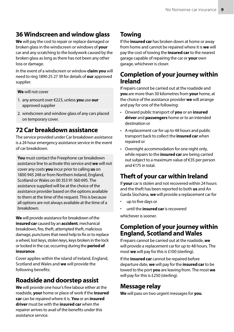#### 36 Windscreen and window glass

**We** will pay the cost to repair or replace damaged or broken glass in the windscreen or windows of **your** car and any scratching to the bodywork caused by the broken glass as long as there has not been any other loss or damage.

In the event of a windscreen or window **claim you** will need to ring 1890 25 27 39 for details of **our** approved supplier.

#### **We** will not cover

- 1. any amount over €223, unless **you** use **our** approved supplier
- 2. windscreen and window glass of any cars placed on temporary cover.

#### 72 Car breakdown assistance

The service provided under Car breakdown assistance is a 24 hour emergency assistance service in the event of car breakdown.

**You** must contact the Freephone car breakdown assistance line to activate this service and **we** will not cover any costs **you** incur prior to calling **us** on 1800 945 248 or from Northern Ireland, England, Scotland or Wales on 00 353 91 560 695. The assistance supplied will be at the choice of the assistance provider based on the options available to them at the time of the request. This is because all options are not always available at the time of a breakdown.

**We** will provide assistance for breakdown of the **insured car** caused by an **accident**, mechanical breakdown, fire, theft, attempted theft, malicious damage, punctures that need help to fix or to replace a wheel, lost keys, stolen keys, keys broken in the lock or locked in the car, occurring during the **period of insurance**.

Cover applies within the island of Ireland, England, Scotland and Wales and **we** will provide the following benefits:

#### Roadside and doorstep assist

**We** will provide one hour's free labour either at the roadside, **your** home or place of work if the **insured car** can be repaired where it is. **You** or an **insured driver** must be with the **insured car** when the repairer arrives to avail of the benefits under this assistance service.

### Towing

If the **insured car** has broken down at home or away from home and cannot be repaired where it is **we** will pay the cost of towing the **insured car** to the nearest garage capable of repairing the car or **your** own garage, whichever is closer.

#### Completion of **your** journey within Ireland

If repairs cannot be carried out at the roadside and **you** are more than 30 kilometres from **your** home, at the choice of the assistance provider **we** will arrange and pay for one of the following:

- Onward public transport of **you** or an **insured driver** and **passengers** home or to an intended destination or
- A replacement car for up to 48 hours and public transport back to collect the **insured car** when repaired or
- Overnight accommodation for one night only, while repairs to the **insured car** are being carried out subject to a maximum value of €35 per person and €175 in total.

### Theft of your car within Ireland

If **your** car is stolen and not recovered within 24 hours and the theft has been reported to both **us** and An Garda Síochána, **we** will provide a replacement car for

- up to five days or
- until the **insured car** is recovered

whichever is sooner.

#### Completion of your journey within England, Scotland and Wales

If repairs cannot be carried out at the roadside, **we** will provide a replacement car for up to 48 hours. The most **we** will pay for this is £100 (sterling).

If the **insured car** cannot be repaired before departure date, **we** will pay for the **insured car** to be towed to the port **you** are leaving from. The most **we** will pay for this is £250 (sterling).

#### Message relay

**We** will pass on two urgent messages for **you**.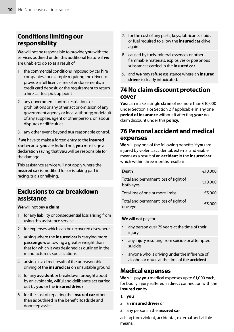#### Conditions limiting our responsibility

**We** will not be responsible to provide **you** with the services outlined under this additional feature if **we** are unable to do so as a result of

- 1. the commercial conditions imposed by car hire companies, for example requiring the driver to provide a full licence free of endorsements, a credit card deposit, or the requirement to return a hire car to a pick up point
- 2. any government control restrictions or prohibitions or any other act or omission of any government agency or local authority; or default of any supplier, agent or other person; or labour disputes or difficulties
- 3. any other event beyond **our** reasonable control.

If **we** have to make a forced entry to the **insured car** because **you** are locked out, **you** must sign a declaration saying that **you** will be responsible for the damage.

This assistance service will not apply where the **insured car** is modified for, or is taking part in racing, trials or rallying.

#### Exclusions to car breakdown assistance

**We** will not pay a **claim**

- 1. for any liability or consequential loss arising from using this assistance service
- 2. for expenses which can be recovered elsewhere
- 3. arising where the **insured car** is carrying more **passengers** or towing a greater weight than that for which it was designed as outlined in the manufacturer's specifications
- 4. arising as a direct result of the unreasonable driving of the **insured car** on unsuitable ground
- 5. for any **accident** or breakdown brought about by an avoidable, wilful and deliberate act carried out by **you** or the **insured driver**
- 6. for the cost of repairing the **insured car** other than as outlined in the benefit Roadside and doorstep assist
- 7. for the cost of any parts, keys, lubricants, fluids or fuel required to allow the **insured car** drive again
- 8. caused by fuels, mineral essences or other flammable materials, explosives or poisonous substances carried in the **insured car**
- 9. and **we** may refuse assistance where an **insured driver** is clearly intoxicated.

#### 74 No claim discount protection cover

**You** can make a single **claim** of no more than €10,000 under Section 1 or Section 2 if applicable, in any one **period of insurance** without it affecting **your** no claim discount under this **policy**.

#### 76 Personal accident and medical expenses

**We** will pay one of the following benefits if **you** are injured by violent, accidental, external and visible means as a result of an **accident** in the **insured car** which within three months results in:

| Death                                             | €10,000 |
|---------------------------------------------------|---------|
| Total and permanent loss of sight of<br>both eyes | €10,000 |
| Total loss of one or more limbs                   | €5,000  |
| Total and permanent loss of sight of<br>one eye   | €5,000  |

**We** will not pay for

- any person over 75 years at the time of their injury
- any injury resulting from suicide or attempted suicide
- anyone who is driving under the influence of alcohol or drugs at the time of the **accident**.

#### Medical expenses

**We** will pay **you** medical expenses up to €1,000 each, for bodily injury suffered in direct connection with the **insured car** by

- 1. **you**
- 2. an **insured driver** or
- 3. any person in the **insured car**

arising from violent, accidental, external and visible means.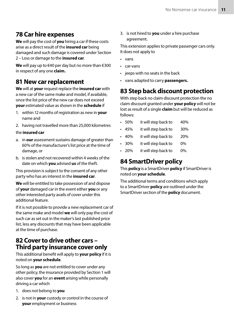#### 78 Car hire expenses

**We** will pay the cost of **you** hiring a car if these costs arise as a direct result of the **insured car** being damaged and such damage is covered under Section 2 – Loss or damage to the **insured car**.

**We** will pay up to €40 per day but no more than €300 in respect of any one **claim.**

#### 81 New car replacement

**We** will at **your** request replace the **insured car** with a new car of the same make and model, if available, once the list price of the new car does not exceed **your** estimated value as shown in the **schedule** if

- 1. within 12 months of registration as new in **your** name and
- 2. having not travelled more than 25,000 kilometres

#### the **insured car**

- a. in **our** assessment sustains damage of greater than 60% of the manufacturer's list price at the time of damage, or
- b. is stolen and not recovered within 4 weeks of the date on which **you** advised **us** of the theft.

This provision is subject to the consent of any other party who has an interest in the **insured car**.

**We** will be entitled to take possession of and dispose of **your** damaged car in the event either **you** or any other interested party avails of cover under this additional feature.

If it is not possible to provide a new replacement car of the same make and model **we** will only pay the cost of such car as set out in the maker's last published price list, less any discounts that may have been applicable at the time of purchase.

#### 82 Cover to drive other cars – Third party insurance cover only

This additional benefit will apply to **your policy** if it is noted on **your schedule**.

So long as **you** are not entitled to cover under any other policy, the insurance provided by Section 1 will also cover **you** for an **event** arising while personally driving a car which

- 1. does not belong to **you**
- 2. is not in **your** custody or control in the course of **your** employment or business

3. is not hired to **you** under a hire purchase agreement.

This extension applies to private passenger cars only. It does not apply to

- vans
- car-vans
- jeeps with no seats in the back
- vans adapted to carry **passengers.**

#### 83 Step back discount protection

With step back no claim discount protection the no claim discount granted under **your policy** will not be lost as result of a single **claim** but will be reduced as follows:

- 50% it will step back to 40%
- 45% it will step back to 30%
- 40% it will step back to 20%
- 30% it will step back to 0%
- 20% it will step back to 0%.

#### 84 SmartDriver policy

This **policy** is a SmartDriver **policy** if SmartDriver is noted on **your schedule**.

The additional terms and conditions which apply to a SmartDriver **policy** are outlined under the SmartDriver section of the **policy** document.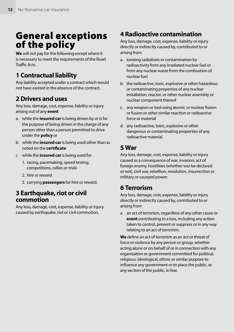# General exceptions of the policy

**We** will not pay for the following except where it is necessary to meet the requirements of the Road Traffic Acts.

#### 1 Contractual liability

Any liability accepted under a contract which would not have existed in the absence of the contract.

#### 2 Drivers and uses

Any loss, damage, cost, expense, liability or injury arising out of any **event**

- a. while the **insured car** is being driven by or is for the purpose of being driven in the charge of any person other than a person permitted to drive under the **policy** or
- b. while the **insured car** is being used other than as noted on the **certificate**
- c. while the **insured car** is being used for
	- 1. racing, pacemaking, speed testing, competitions, rallies or trials
	- 2. hire or reward
	- 3. carrying **passengers** for hire or reward.

#### 3 Earthquake, riot or civil commotion

Any loss, damage, cost, expense, liability or injury caused by earthquake, riot or civil commotion.

#### 4 Radioactive contamination

Any loss, damage, cost, expense, liability or injury directly or indirectly caused by, contributed to or arising from

- a. ionising radiations or contamination by radioactivity from any irradiated nuclear fuel or from any nuclear waste from the combustion of nuclear fuel
- b. the radioactive, toxic, explosive or other hazardous or contaminating properties of any nuclear installation, reactor, or other nuclear assembly or nuclear component thereof
- c. any weapon or tool using atomic or nuclear fission or fusion or other similar reaction or radioactive force or material
- d. any radioactive, toxic, explosive or other dangerous or contaminating properties of any radioactive material.

#### 5 War

Any loss, damage, cost, expense, liability or injury caused as a consequence of war, invasion, act of foreign enemy, hostilities (whether war be declared or not), civil war, rebellion, revolution, insurrection or military or usurped power.

#### 6 Terrorism

Any loss, damage, cost, expense, liability or injury directly or indirectly caused by, contributed to or arising from

a. an act of terrorism, regardless of any other cause or **event** contributing to a loss, including any action taken to control, prevent or suppress or in any way relating to an act of terrorism.

**We** define an act of terrorism as an act or threat of force or violence by any person or group, whether acting alone or on behalf of or in connection with any organisation or government committed for political, religious, ideological, ethnic or similar purpose to influence any government or to place the public, or any section of the public, in fear.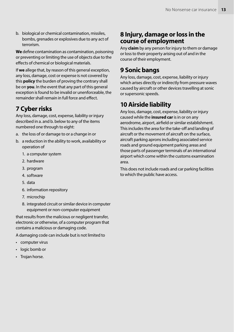b. biological or chemical contamination, missiles, bombs, grenades or explosives due to any act of terrorism.

**We** define contamination as contamination, poisoning or preventing or limiting the use of objects due to the effects of chemical or biological materials.

If **we** allege that, by reason of this general exception, any loss, damage, cost or expense is not covered by this **policy** the burden of proving the contrary shall be on **you**. In the event that any part of this general exception is found to be invalid or unenforceable, the remainder shall remain in full force and effect.

#### 7 Cyber risks

Any loss, damage, cost, expense, liability or injury described in a. and b. below to any of the items numbered one through to eight:

- a. the loss of or damage to or a change in or
- b. a reduction in the ability to work, availability or operation of
	- 1. a computer system
	- 2. hardware
	- 3. program
	- 4. software
	- 5. data
	- 6. information repository
	- 7. microchip
	- 8. integrated circuit or similar device in computer equipment or non-computer equipment

that results from the malicious or negligent transfer, electronic or otherwise, of a computer program that contains a malicious or damaging code.

A damaging code can include but is not limited to

- computer virus
- logic bomb or
- Trojan horse.

#### 8 Injury, damage or loss in the course of employment

Any **claim** by any person for injury to them or damage or loss to their property arising out of and in the course of their employment.

#### 9 Sonic bangs

Any loss, damage, cost, expense, liability or injury which arises directly or indirectly from pressure waves caused by aircraft or other devices travelling at sonic or supersonic speeds.

#### 10 Airside liability

Any loss, damage, cost, expense, liability or injury caused while the **insured car** is in or on any aerodrome, airport, airfield or similar establishment. This includes the area for the take-off and landing of aircraft or the movement of aircraft on the surface, aircraft parking aprons including associated service roads and ground equipment parking areas and those parts of passenger terminals of an international airport which come within the customs examination area.

This does not include roads and car parking facilities to which the public have access.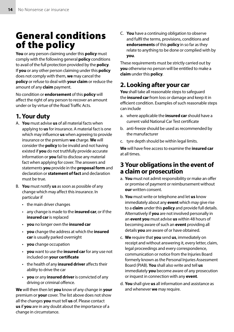# General conditions of the policy

**You** or any person claiming under this **policy** must comply with the following general **policy** conditions to avail of the full protection provided by the **policy**. If **you** or any other person claiming under this **policy** does not comply with them, **we** may cancel the **policy** or refuse to deal with **your claim** or reduce the amount of any **claim** payment.

No condition or **endorsement** of this **policy** will affect the right of any person to recover an amount under or by virtue of the Road Traffic Acts.

#### 1. Your duty

- A. **You** must advise **us** of all material facts when applying to **us** for insurance. A material fact is one which may influence **us** when agreeing to provide insurance or the premium **we** charge. **We** will consider the **policy** to be invalid and not having existed if **you** do not truthfully provide accurate information or **you** fail to disclose any material fact when applying for cover. The answers and statements **you** provide in the **proposal form** and declaration or **statement of fact** and declaration must be true.
- B. **You** must notify **us** as soon as possible of any change which may affect this insurance. In particular if
	- the main driver changes
	- any change is made to the **insured car**, or if the **insured car** is replaced
	- **you** no longer own the **insured car**
	- **you** change the address at which the **insured car** is usually parked overnight
	- **you** change occupation
	- **you** want to use the **insured car** for any use not included on **your certificate**
	- the health of any **insured driver** affects their ability to drive the car
	- **you** or any **insured driver** is convicted of any driving or criminal offence.

**We** will then then let **you** know of any change in **your** premium or **your** cover. The list above does not show all the changes **you** must tell **us** of. Please contact **us** if **you** are in any doubt about the importance of a change in circumstance.

C. **You** have a continuing obligation to observe and fulfil the terms, provisions, conditions and **endorsements** of this **policy** in so far as they relate to anything to be done or complied with by **you**.

These requirements must be strictly carried out by **you** otherwise no person will be entitled to make a **claim** under this **policy**.

#### 2. Looking after your car

You shall take all reasonable steps to safequard the **insured car** from loss or damage and keep it in efficient condition. Examples of such reasonable steps can include

- a. where applicable the **insured car** should have a current valid National Car Test certificate
- b. anti-freeze should be used as recommended by the manufacturer
- c. tyre depth should be within legal limits.

**We** will have free access to examine the **insured car** at all times.

#### 3 Your obligations in the event of a claim or prosecution

- a. **You** must not admit responsibility or make an offer or promise of payment or reimbursement without **our** written consent.
- b. **You** must write or telephone and let **us** know immediately about any **event** which may give rise to a **claim** under this **policy** and provide full details. Alternatively if **you** are not involved personally in an **event you** must advise **us** within 48 hours of becoming aware of such an **event** providing all details **you** are aware of or have obtained.
- c. **We** require that **you** send **us**, immediately on receipt and without answering it, every letter, claim, legal proceedings and every correspondence, communication or notice from the Injuries Board formerly known as the Personal Injuries Assessment Board (PIAB). **You** shall also write and tell **us** immediately **you** become aware of any prosecution or inquest in connection with any **event**.
- d. **You** shall give **us** all information and assistance as and whenever **we** may require.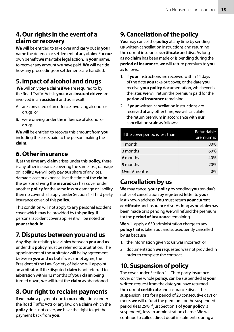#### 4. Our rights in the event of a claim or recovery

**We** will be entitled to take over and carry out in **your** name the defence or settlement of any **claim**. For **our** own benefit **we** may take legal action, in **your** name, to recover any amount **we** have paid. **We** will decide how any proceedings or settlements are handled.

### 5. Impact of alcohol and drugs

**We** will only pay a **claim** if **we** are required to by the Road Traffic Acts if **you** or an **insured driver** are involved in an **accident** and as a result

- A. are convicted of an offence involving alcohol or drugs, or
- B. were driving under the influence of alcohol or drugs.

**We** will be entitled to recover this amount from **you** including the costs paid to the person making the **claim**.

#### 6. Other insurance

If, at the time any **claim** arises under this **policy**, there is any other insurance covering the same loss, damage or liability, **we** will only pay **our** share of any loss, damage, cost or expense. If at the time of the **claim** the person driving the **insured car** has cover under another **policy** for the same loss or damage or liability then no cover shall apply under Section 1 - Third party insurance cover, of this **policy**.

This condition will not apply to any personal accident cover which may be provided by this **policy**. If personal accident cover applies it will be noted on **your schedule**.

### 7. Disputes between you and us

Any dispute relating to a **claim** between **you** and **us** under this **policy** must be referred to arbitration. The appointment of the arbitrator will be by agreement between **you** and **us** but if we cannot agree, the President of the Law Society of Ireland will appoint an arbitrator. If the disputed **claim** is not referred to arbitration within 12 months of **your claim** being turned down, **we** will treat the **claim** as abandoned.

### 8. Our right to reclaim payments

If **we** make a payment due to **our** obligations under the Road Traffic Acts or any law, on a **claim** which the **policy** does not cover, **we** have the right to get the payment back from **you**.

### 9. Cancellation of the policy

**You** may cancel the **policy** at any time by sending **us** written cancellation instructions and returning the current insurance **certificate** and disc. As long as no **claim** has been made or is pending during the **period of insurance**, **we** will return premium to **you** as follows:

- 1. If **your** instructions are received within 14 days of the date **you** take out cover, or the date **you** receive **your policy** documentation, whichever is the later, **we** will return the premium paid for the **period of insurance** remaining.
- 2. If **your** written cancellation instructions are received at any other time, **we** will calculate the return premium in accordance with **our** cancellation scale as follows:

| If the cover period is less than | Refundable<br>premium is |
|----------------------------------|--------------------------|
| 1 month                          | 80%                      |
| 3 months                         | 60%                      |
| 6 months                         | 40%                      |
| 9 months                         | 20%                      |
| Over 9 months                    | $0\%$                    |

### Cancellation by us

**We** may cancel **your policy** by sending **you** ten day's notice of cancellation by registered letter to **your** last known address. **You** must return **your** current **certificate** and insurance disc. As long as no **claim** has been made or is pending **we** will refund the premium for the **period of insurance** remaining.

**We** will apply a €50 administration charge to any **policy** that is taken out and subsequently cancelled by **us** because

- 1. the information given to **us** was incorrect, or
- 2. documentation **we** requested was not provided in order to complete the contract.

### 10. Suspension of policy

The cover under Section 1 – Third party insurance cover or, the whole **policy,** can be suspended at **your** written request from the date **you** have returned the current **certificate** and insurance disc. If the suspension lasts for a period of 28 consecutive days or more, **we** will refund the premium for the suspended period (less 25% if just Section 1 of **your policy** is suspended), less an administration charge. **We** will continue to collect direct debit instalments during a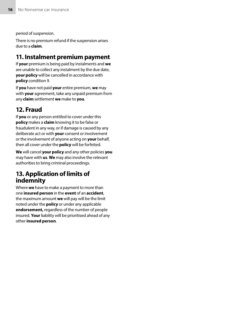period of suspension.

There is no premium refund if the suspension arises due to a **claim**.

#### 11. Instalment premium payment

If **your** premium is being paid by instalments and **we** are unable to collect any instalment by the due date, **your policy** will be cancelled in accordance with **policy** condition 9.

If **you** have not paid **your** entire premium, **we** may with **your** agreement, take any unpaid premium from any **claim** settlement **we** make to **you**.

#### 12. Fraud

If **you** or any person entitled to cover under this **policy** makes a **claim** knowing it to be false or fraudulent in any way, or if damage is caused by any deliberate act or with **your** consent or involvement or the involvement of anyone acting on **your** behalf, then all cover under the **policy** will be forfeited.

**We** will cancel **your policy** and any other policies **you** may have with **us**. **We** may also involve the relevant authorities to bring criminal proceedings.

#### 13. Application of limits of indemnity

Where **we** have to make a payment to more than one **insured person** in the **event** of an **accident**, the maximum amount **we** will pay will be the limit noted under the **policy** or under any applicable **endorsement,** regardless of the number of people insured. **Your** liability will be prioritised ahead of any other **insured person**.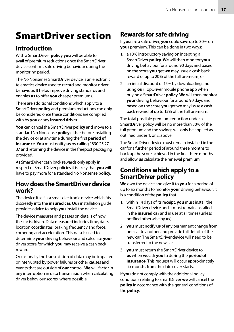# SmartDriver section

#### Introduction

With a SmartDriver **policy you** will be able to avail of premium reductions once the SmartDriver device confirms safe driving behaviour during the monitoring period.

The No Nonsense SmartDriver device is an electronic telematics device used to record and monitor driver behaviour. It helps improve driving standards and enables **us** to offer **you** cheaper premiums.

There are additional conditions which apply to a SmartDriver **policy** and premium reductions can only be considered once these conditions are complied with by **you** or any **insured driver**.

**You** can cancel the SmartDriver **policy** and move to a standard No Nonsense **policy** either before installing the device or at any time during the first **period of insurance**. **You** must notify **us** by calling 1890 25 27 37 and returning the device in the freepost packaging provided.

As SmartDriver cash back rewards only apply in respect of SmartDriver policies it is likely that **you** will have to pay more for a standard No Nonsense **policy**.

#### How does the SmartDriver device work?

The device itself is a small electronic device which fits discreetly into the **insured car**. **Our** installation guide provides advice to help **you** install the device.

The device measures and passes on details of how the car is driven. Data measured includes time, date, location coordinates, braking frequency and force, cornering and acceleration. This data is used to determine **your** driving behaviour and calculate **your** driver score for which **you** may receive a cash back reward.

Occasionally the transmission of data may be impaired or interrupted by power failures or other causes and events that are outside of **our** control. **We** will factor in any interruption in data transmission when calculating driver behaviour scores, where possible.

### Rewards for safe driving

If **you** are a safe driver, **you** could save up to 30% on **your** premium. This can be done in two ways:

- 1. a 10% introductory saving on incepting a SmartDriver **policy**. **We** will then monitor **your** driving behaviour for around 90 days and based on the score **you** get **we** may issue a cash back reward of up to 20% of the full premium; or
- 2. an initial discount of 15% by downloading and using **our** TopDriver mobile phone app when buying a SmartDriver **policy**. **We** will then monitor **your** driving behaviour for around 90 days and based on the score **you** get **we** may issue a cash back reward of up to 15% of the full premium.

The total possible premium reduction under a SmartDriver policy will be no more than 30% of the full premium and the savings will only be applied as outlined under 1. or 2. above.

The SmartDriver device must remain installed in the car for a further period of around three months to back up the score achieved in the first three months and allow **us** calculate the renewal premium.

#### Conditions which apply to a SmartDriver policy

**We** own the device and give it to **you** for a period of up to six months to monitor **your** driving behaviour. It is a condition of the **policy** that

- 1. within 14 days of its receipt, **you** must install the SmartDriver device and it must remain installed in the **insured car** and in use at all times (unless notified otherwise by **us**)
- 2. **you** must notify **us** of any permanent change from one car to another and provide full details of the new car. The SmartDriver device will need to be transferred to the new car
- 3. **you** must return the SmartDriver device to **us** when **we** ask **you** to during the **period of insurance**. This request will occur approximately six months from the date cover starts.

If **you** do not comply with the additional policy conditions relating to SmartDriver **we** will cancel the **policy** in accordance with the general conditions of the **policy**.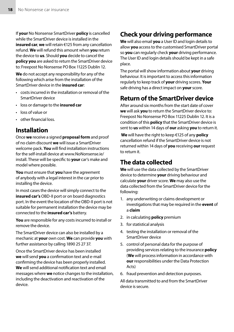If **your** No Nonsense SmartDriver **policy** is cancelled while the SmartDriver device is installed in the **insured car**, **we** will retain €125 from any cancellation refund. **We** will refund this amount when **you** return the device to **us**. Should **you** decide to cancel the **policy you** are asked to return the SmartDriver device to: Freepost No Nonsense PO Box 11225 Dublin 12.

**We** do not accept any responsibility for any of the following which arise from the installation of the SmartDriver device in the **insured car**:

- costs incurred in the installation or removal of the SmartDriver device
- loss or damage to the **insured car**
- loss of value or
- other financial loss.

#### Installation

Once **we** receive a signed **proposal form** and proof of no claim discount **we** will issue a SmartDriver welcome pack. **You** will find installation instructions for the self-install device at www.NoNonsense.ie/ install. These will be specific to **your** car's make and model where possible.

**You** must ensure that **you** have the agreement of anybody with a legal interest in the car prior to installing the device.

In most cases the device will simply connect to the **insured car's** OBD-II port or on board diagnostics port. In the event the location of the OBD-II port is not suitable for permanent installation the device may be connected to the **insured car's** battery.

**You** are responsible for any costs incurred to install or remove the device.

The SmartDriver device can also be installed by a mechanic at **your** own cost. **We** can provide **you** with further assistance by calling 1890 25 27 37.

Once the SmartDriver device has been installed **we** will send **you** a confirmation text and e-mail confirming the device has been properly installed. **We** will send additional notification text and email messages where **we** notice changes to the installation, including the deactivation and reactivation of the device.

### Check your driving performance

**We** will also email **you** a User ID and login details to allow **you** access to the customised SmartDriver portal so **you** can regularly check **your** driving performance. The User ID and login details should be kept in a safe place.

The portal will show information about **your** driving behaviour. It is important to access this information regularly to keep track of **your** driving scores. **Your** safe driving has a direct impact on **your** score.

### Return of the SmartDriver device

After around six months from the start date of cover **we** will ask **you** to return the SmartDriver device to: Freepost No Nonsense PO Box 11225 Dublin 12. It is a condition of this **policy** that the SmartDriver device is sent to **us** within 14 days of **our** asking **you** to return it.

**We** will have the right to keep €125 of any **policy** cancellation refund if the SmartDriver device is not returned within 14 days of **you** receiving **our** request to return it.

#### The data collected

**We** will use the data collected by the SmartDriver device to determine **your** driving behaviour and calculate **your** driver score. **We** may also use the data collected from the SmartDriver device for the following:

- 1. any underwriting or claims development or investigations that may be required in the **event** of a **claim**
- 2. in calculating **policy** premium
- 3. for statistical analysis
- 4. testing the installation or removal of the SmartDriver device
- 5. control of personal data for the purpose of providing services relating to the insurance **policy** (**We** will process information in accordance with **our** responsibilities under the Data Protection Acts)
- 6. fraud prevention and detection purposes.

All data transmitted to and from the SmartDriver device is secure.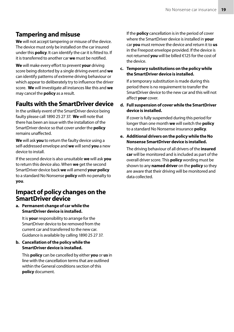#### Tampering and misuse

**We** will not accept tampering or misuse of the device. The device must only be installed on the car insured under this **policy**. It can identify the car it is fitted to. If it is transferred to another car **we** must be notified.

**We** will make every effort to prevent **your** driving score being distorted by a single driving event and **we** can identify patterns of extreme driving behaviour or which appear to deliberately try to influence the driver score. **We** will investigate all instances like this and **we** may cancel the **policy** as a result.

#### Faults with the SmartDriver device

In the unlikely event of the SmartDriver device being faulty please call 1890 25 27 37. **We** will note that there has been an issue with the installation of the SmartDriver device so that cover under the **policy** remains unaffected.

**We** will ask **you** to return the faulty device using a self-addressed envelope and **we** will send **you** a new device to install.

If the second device is also unsuitable **we** will ask **you** to return this device also. When **we** get the second SmartDriver device back **we** will amend **your policy** to a standard No Nonsense **policy** with no penalty to **you**.

#### Impact of policy changes on the SmartDriver device

**a. Permanent change of car while the SmartDriver device is installed.**

It is **your** responsibility to arrange for the SmartDriver device to be removed from the current car and transferred to the new car. Guidance is available by calling 1890 25 27 37.

#### **b. Cancellation of the policy while the SmartDriver device is installed.**

This **policy** can be cancelled by either **you** or **us** in line with the cancellation terms that are outlined within the General conditions section of this **policy** document.

If the **policy** cancellation is in the period of cover where the SmartDriver device is installed in **your** car **you** must remove the device and return it to **us** in the Freepost envelope provided. If the device is not returned **you** will be billed €125 for the cost of the device.

**c. Temporary substitutions on the policy while the SmartDriver device is installed.**

If a temporary substitution is made during this period there is no requirement to transfer the SmartDriver device to the new car and this will not affect **your** cover.

**d. Full suspension of cover while the SmartDriver device is installed.**

If cover is fully suspended during this period for longer than one month **we** will switch the **policy** to a standard No Nonsense insurance **policy**.

**e. Additional drivers on the policy while the No Nonsense SmartDriver device is installed.** 

The driving behaviour of all drivers of the **insured car** will be monitored and is included as part of the overall driver score. This **policy** wording must be shown to any **named driver** on the **policy** so they are aware that their driving will be monitored and data collected.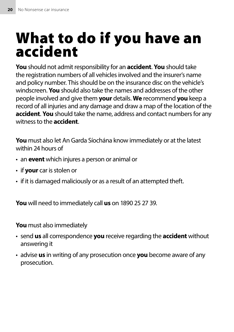# What to do if you have an accident

**You** should not admit responsibility for an **accident**. **You** should take the registration numbers of all vehicles involved and the insurer's name and policy number. This should be on the insurance disc on the vehicle's windscreen. **You** should also take the names and addresses of the other people involved and give them **your** details. **We** recommend **you** keep a record of all injuries and any damage and draw a map of the location of the **accident**. **You** should take the name, address and contact numbers for any witness to the **accident**.

**You** must also let An Garda Síochána know immediately or at the latest within 24 hours of

- an **event** which injures a person or animal or
- if **your** car is stolen or
- if it is damaged maliciously or as a result of an attempted theft.

**You** will need to immediately call **us** on 1890 25 27 39.

**You** must also immediately

- send **us** all correspondence **you** receive regarding the **accident** without answering it
- advise **us** in writing of any prosecution once **you** become aware of any prosecution.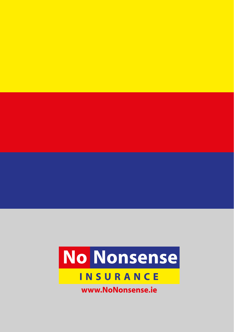

# **INSURANCE**

www.NoNonsense.ie